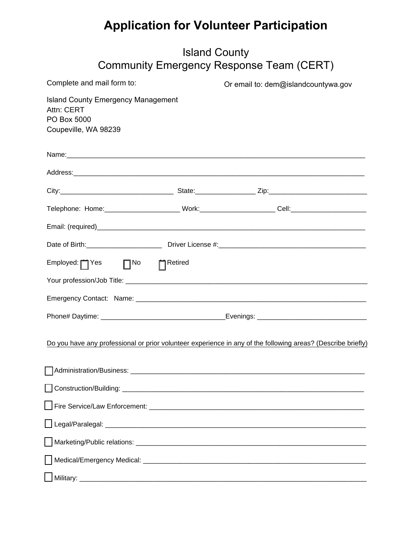## **Application for Volunteer Participation**

| <b>Island County</b><br>Community Emergency Response Team (CERT)                               |  |                                                                                                              |  |  |  |
|------------------------------------------------------------------------------------------------|--|--------------------------------------------------------------------------------------------------------------|--|--|--|
| Complete and mail form to:                                                                     |  | Or email to: dem@islandcountywa.gov                                                                          |  |  |  |
| <b>Island County Emergency Management</b><br>Attn: CERT<br>PO Box 5000<br>Coupeville, WA 98239 |  |                                                                                                              |  |  |  |
|                                                                                                |  |                                                                                                              |  |  |  |
|                                                                                                |  |                                                                                                              |  |  |  |
|                                                                                                |  |                                                                                                              |  |  |  |
|                                                                                                |  |                                                                                                              |  |  |  |
|                                                                                                |  |                                                                                                              |  |  |  |
|                                                                                                |  |                                                                                                              |  |  |  |
| Employed:   Yes   No     Retired                                                               |  |                                                                                                              |  |  |  |
|                                                                                                |  |                                                                                                              |  |  |  |
|                                                                                                |  |                                                                                                              |  |  |  |
|                                                                                                |  |                                                                                                              |  |  |  |
|                                                                                                |  | Do you have any professional or prior volunteer experience in any of the following areas? (Describe briefly) |  |  |  |
|                                                                                                |  |                                                                                                              |  |  |  |
|                                                                                                |  |                                                                                                              |  |  |  |
|                                                                                                |  |                                                                                                              |  |  |  |
|                                                                                                |  |                                                                                                              |  |  |  |
|                                                                                                |  |                                                                                                              |  |  |  |
|                                                                                                |  |                                                                                                              |  |  |  |

[ ] Military: \_\_\_\_\_\_\_\_\_\_\_\_\_\_\_\_\_\_\_\_\_\_\_\_\_\_\_\_\_\_\_\_\_\_\_\_\_\_\_\_\_\_\_\_\_\_\_\_\_\_\_\_\_\_\_\_\_\_\_\_\_\_\_\_\_\_\_\_\_\_\_\_\_\_\_\_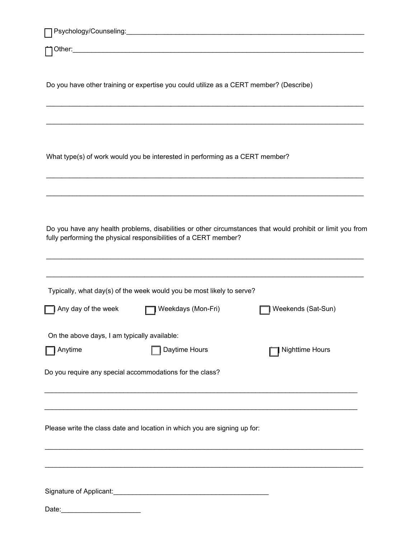|                                              | Do you have other training or expertise you could utilize as a CERT member? (Describe) |                                                                                                            |
|----------------------------------------------|----------------------------------------------------------------------------------------|------------------------------------------------------------------------------------------------------------|
|                                              | What type(s) of work would you be interested in performing as a CERT member?           |                                                                                                            |
|                                              |                                                                                        |                                                                                                            |
|                                              | fully performing the physical responsibilities of a CERT member?                       | Do you have any health problems, disabilities or other circumstances that would prohibit or limit you from |
|                                              | Typically, what day(s) of the week would you be most likely to serve?                  |                                                                                                            |
| Any day of the week                          | Weekdays (Mon-Fri)                                                                     | Weekends (Sat-Sun)                                                                                         |
| On the above days, I am typically available: |                                                                                        |                                                                                                            |
| Anytime                                      | Daytime Hours                                                                          | <b>Nighttime Hours</b>                                                                                     |
|                                              | Do you require any special accommodations for the class?                               |                                                                                                            |
|                                              |                                                                                        |                                                                                                            |
|                                              | Please write the class date and location in which you are signing up for:              |                                                                                                            |
|                                              |                                                                                        |                                                                                                            |
|                                              |                                                                                        |                                                                                                            |
| Date:                                        |                                                                                        |                                                                                                            |